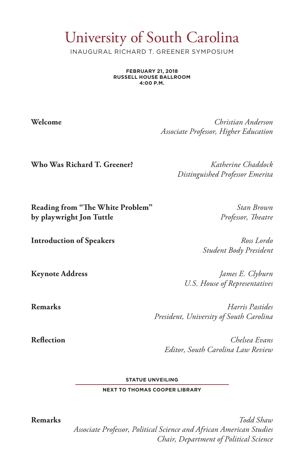## University of South Carolina

INAUGURAL RICHARD T. GREENER SYMPOSIUM

**FEBRUARY 21, 2018 RUSSELL HOUSE BALLROOM 4:00 P.M.** 

**Welcome** *Christian Anderson Associate Professor, Higher Education*

**Who Was Richard T. Greener?** *Katherine Chaddock*

*Distinguished Professor Emerita*

**Reading from "The White Problem"** *Stan Brown* **by playwright Jon Tuttle** *Professor, Theatre*

**Introduction of Speakers** *Ross Lordo*

*Student Body President*

**Keynote Address** *James E. Clyburn U.S. House of Representatives*

**Remarks** *Harris Pastides President, University of South Carolina*

**Reflection** *Chelsea Evans Editor, South Carolina Law Review*

**STATUE UNVEILING**

**NEXT TO THOMAS COOPER LIBRARY**

**Remarks** *Todd Shaw Associate Professor, Political Science and African American Studies Chair, Department of Political Science*